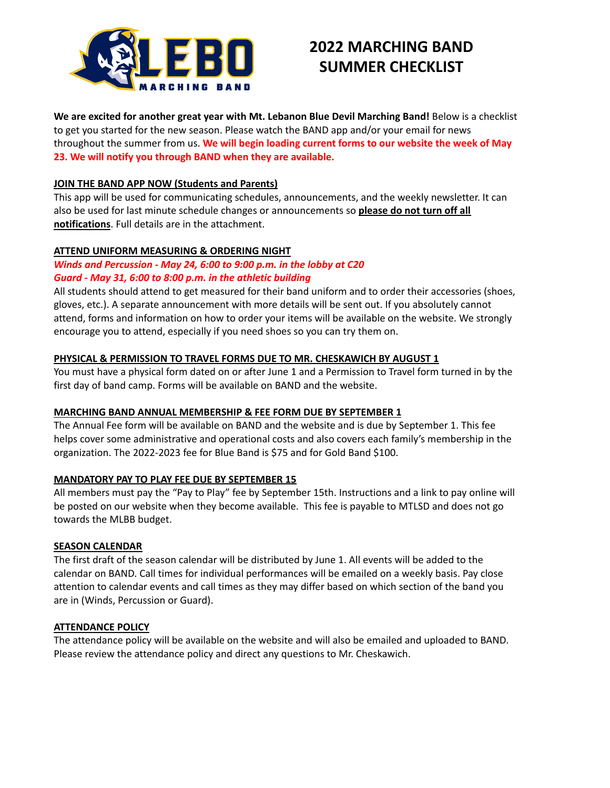

# **2022 MARCHING BAND SUMMER CHECKLIST**

**We are excited for another great year with Mt. Lebanon Blue Devil Marching Band!** Below is a checklist to get you started for the new season. Please watch the BAND app and/or your email for news throughout the summer from us. **We will begin loading current forms to our website the week of May 23. We will notify you through BAND when they are available.**

## **JOIN THE BAND APP NOW (Students and Parents)**

This app will be used for communicating schedules, announcements, and the weekly newsletter. It can also be used for last minute schedule changes or announcements so **please do not turn off all notifications**. Full details are in the attachment.

## **ATTEND UNIFORM MEASURING & ORDERING NIGHT**

# *Winds and Percussion - May 24, 6:00 to 9:00 p.m. in the lobby at C20 Guard - May 31, 6:00 to 8:00 p.m. in the athletic building*

All students should attend to get measured for their band uniform and to order their accessories (shoes, gloves, etc.). A separate announcement with more details will be sent out. If you absolutely cannot attend, forms and information on how to order your items will be available on the website. We strongly encourage you to attend, especially if you need shoes so you can try them on.

## **PHYSICAL & PERMISSION TO TRAVEL FORMS DUE TO MR. CHESKAWICH BY AUGUST 1**

You must have a physical form dated on or after June 1 and a Permission to Travel form turned in by the first day of band camp. Forms will be available on BAND and the website.

#### **MARCHING BAND ANNUAL MEMBERSHIP & FEE FORM DUE BY SEPTEMBER 1**

The Annual Fee form will be available on BAND and the website and is due by September 1. This fee helps cover some administrative and operational costs and also covers each family's membership in the organization. The 2022-2023 fee for Blue Band is \$75 and for Gold Band \$100.

#### **MANDATORY PAY TO PLAY FEE DUE BY SEPTEMBER 15**

All members must pay the "Pay to Play" fee by September 15th. Instructions and a link to pay online will be posted on our website when they become available. This fee is payable to MTLSD and does not go towards the MLBB budget.

#### **SEASON CALENDAR**

The first draft of the season calendar will be distributed by June 1. All events will be added to the calendar on BAND. Call times for individual performances will be emailed on a weekly basis. Pay close attention to calendar events and call times as they may differ based on which section of the band you are in (Winds, Percussion or Guard).

#### **ATTENDANCE POLICY**

The attendance policy will be available on the website and will also be emailed and uploaded to BAND. Please review the attendance policy and direct any questions to Mr. Cheskawich.